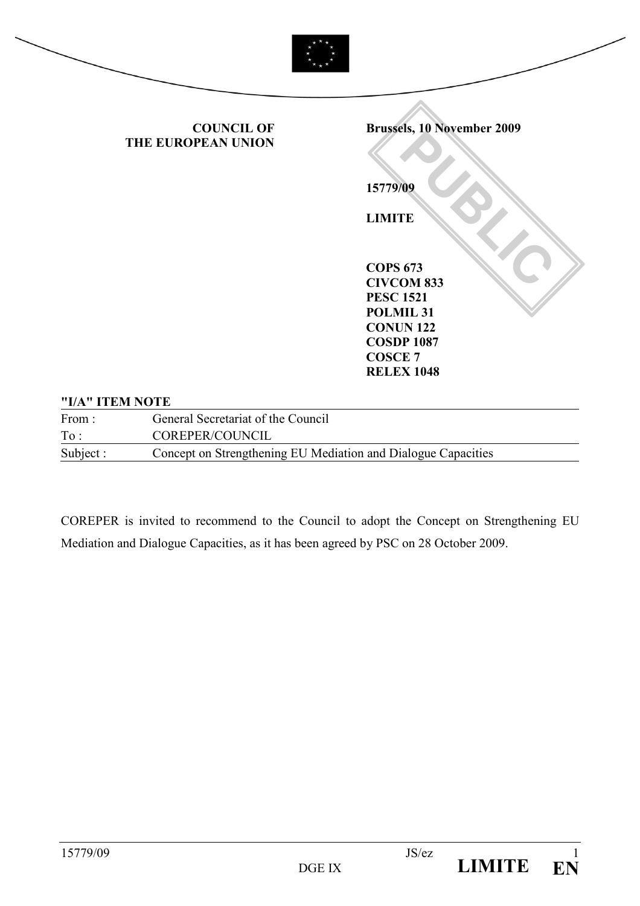

#### "I/A" ITEM NOTE

| From:     | General Secretariat of the Council                            |
|-----------|---------------------------------------------------------------|
| To:       | COREPER/COUNCIL                                               |
| Subject : | Concept on Strengthening EU Mediation and Dialogue Capacities |

COREPER is invited to recommend to the Council to adopt the Concept on Strengthening EU Mediation and Dialogue Capacities, as it has been agreed by PSC on 28 October 2009.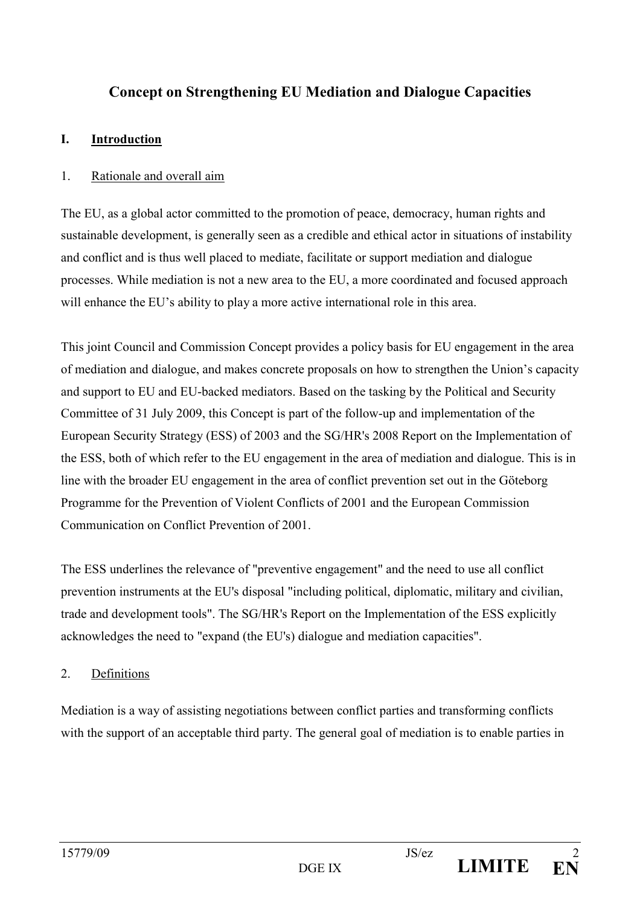# Concept on Strengthening EU Mediation and Dialogue Capacities

# I. Introduction

### 1. Rationale and overall aim

The EU, as a global actor committed to the promotion of peace, democracy, human rights and sustainable development, is generally seen as a credible and ethical actor in situations of instability and conflict and is thus well placed to mediate, facilitate or support mediation and dialogue processes. While mediation is not a new area to the EU, a more coordinated and focused approach will enhance the EU's ability to play a more active international role in this area.

This joint Council and Commission Concept provides a policy basis for EU engagement in the area of mediation and dialogue, and makes concrete proposals on how to strengthen the Union's capacity and support to EU and EU-backed mediators. Based on the tasking by the Political and Security Committee of 31 July 2009, this Concept is part of the follow-up and implementation of the European Security Strategy (ESS) of 2003 and the SG/HR's 2008 Report on the Implementation of the ESS, both of which refer to the EU engagement in the area of mediation and dialogue. This is in line with the broader EU engagement in the area of conflict prevention set out in the Göteborg Programme for the Prevention of Violent Conflicts of 2001 and the European Commission Communication on Conflict Prevention of 2001.

The ESS underlines the relevance of "preventive engagement" and the need to use all conflict prevention instruments at the EU's disposal "including political, diplomatic, military and civilian, trade and development tools". The SG/HR's Report on the Implementation of the ESS explicitly acknowledges the need to "expand (the EU's) dialogue and mediation capacities".

# 2. Definitions

Mediation is a way of assisting negotiations between conflict parties and transforming conflicts with the support of an acceptable third party. The general goal of mediation is to enable parties in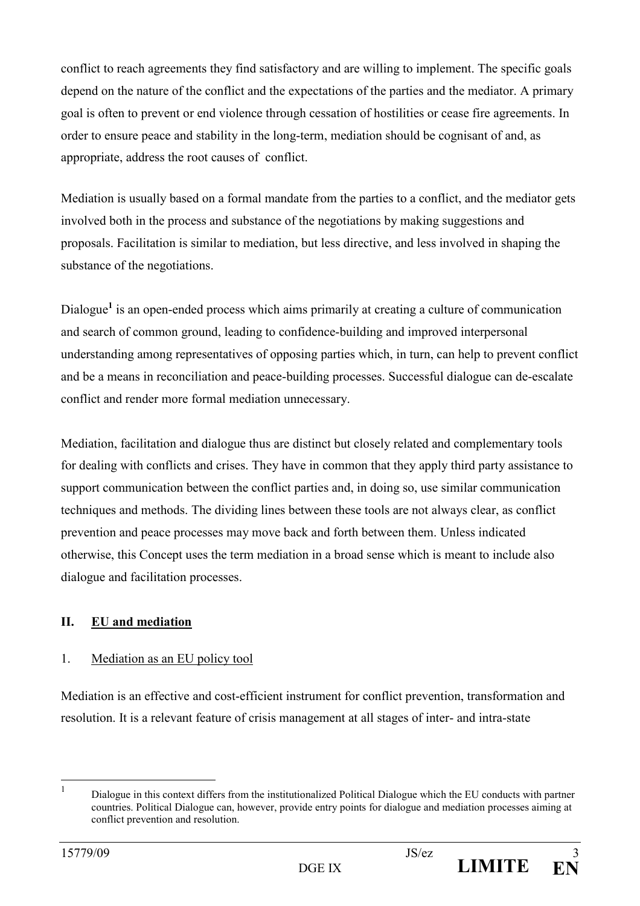conflict to reach agreements they find satisfactory and are willing to implement. The specific goals depend on the nature of the conflict and the expectations of the parties and the mediator. A primary goal is often to prevent or end violence through cessation of hostilities or cease fire agreements. In order to ensure peace and stability in the long-term, mediation should be cognisant of and, as appropriate, address the root causes of conflict.

Mediation is usually based on a formal mandate from the parties to a conflict, and the mediator gets involved both in the process and substance of the negotiations by making suggestions and proposals. Facilitation is similar to mediation, but less directive, and less involved in shaping the substance of the negotiations.

Dialogue<sup>1</sup> is an open-ended process which aims primarily at creating a culture of communication and search of common ground, leading to confidence-building and improved interpersonal understanding among representatives of opposing parties which, in turn, can help to prevent conflict and be a means in reconciliation and peace-building processes. Successful dialogue can de-escalate conflict and render more formal mediation unnecessary.

Mediation, facilitation and dialogue thus are distinct but closely related and complementary tools for dealing with conflicts and crises. They have in common that they apply third party assistance to support communication between the conflict parties and, in doing so, use similar communication techniques and methods. The dividing lines between these tools are not always clear, as conflict prevention and peace processes may move back and forth between them. Unless indicated otherwise, this Concept uses the term mediation in a broad sense which is meant to include also dialogue and facilitation processes.

# II. EU and mediation

### 1. Mediation as an EU policy tool

Mediation is an effective and cost-efficient instrument for conflict prevention, transformation and resolution. It is a relevant feature of crisis management at all stages of inter- and intra-state

 $\frac{1}{1}$ 

Dialogue in this context differs from the institutionalized Political Dialogue which the EU conducts with partner countries. Political Dialogue can, however, provide entry points for dialogue and mediation processes aiming at conflict prevention and resolution.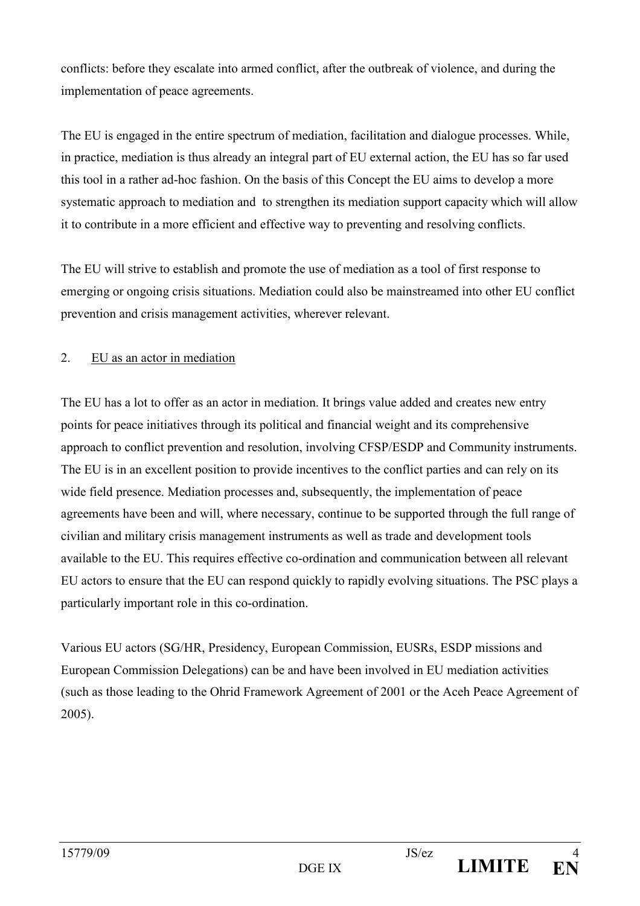conflicts: before they escalate into armed conflict, after the outbreak of violence, and during the implementation of peace agreements.

The EU is engaged in the entire spectrum of mediation, facilitation and dialogue processes. While, in practice, mediation is thus already an integral part of EU external action, the EU has so far used this tool in a rather ad-hoc fashion. On the basis of this Concept the EU aims to develop a more systematic approach to mediation and to strengthen its mediation support capacity which will allow it to contribute in a more efficient and effective way to preventing and resolving conflicts.

The EU will strive to establish and promote the use of mediation as a tool of first response to emerging or ongoing crisis situations. Mediation could also be mainstreamed into other EU conflict prevention and crisis management activities, wherever relevant.

### 2. EU as an actor in mediation

The EU has a lot to offer as an actor in mediation. It brings value added and creates new entry points for peace initiatives through its political and financial weight and its comprehensive approach to conflict prevention and resolution, involving CFSP/ESDP and Community instruments. The EU is in an excellent position to provide incentives to the conflict parties and can rely on its wide field presence. Mediation processes and, subsequently, the implementation of peace agreements have been and will, where necessary, continue to be supported through the full range of civilian and military crisis management instruments as well as trade and development tools available to the EU. This requires effective co-ordination and communication between all relevant EU actors to ensure that the EU can respond quickly to rapidly evolving situations. The PSC plays a particularly important role in this co-ordination.

Various EU actors (SG/HR, Presidency, European Commission, EUSRs, ESDP missions and European Commission Delegations) can be and have been involved in EU mediation activities (such as those leading to the Ohrid Framework Agreement of 2001 or the Aceh Peace Agreement of 2005).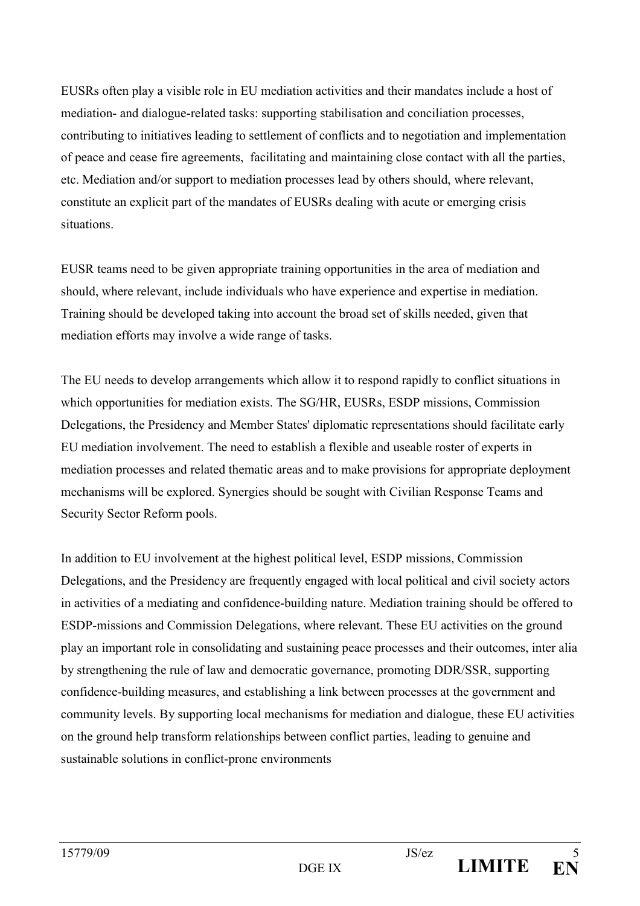EUSRs often play a visible role in EU mediation activities and their mandates include a host of mediation- and dialogue-related tasks: supporting stabilisation and conciliation processes, contributing to initiatives leading to settlement of conflicts and to negotiation and implementation of peace and cease fire agreements, facilitating and maintaining close contact with all the parties, etc. Mediation and/or support to mediation processes lead by others should, where relevant, constitute an explicit part of the mandates of EUSRs dealing with acute or emerging crisis situations.

EUSR teams need to be given appropriate training opportunities in the area of mediation and should, where relevant, include individuals who have experience and expertise in mediation. Training should be developed taking into account the broad set of skills needed, given that mediation efforts may involve a wide range of tasks.

The EU needs to develop arrangements which allow it to respond rapidly to conflict situations in which opportunities for mediation exists. The SG/HR, EUSRs, ESDP missions, Commission Delegations, the Presidency and Member States' diplomatic representations should facilitate early EU mediation involvement. The need to establish a flexible and useable roster of experts in mediation processes and related thematic areas and to make provisions for appropriate deployment mechanisms will be explored. Synergies should be sought with Civilian Response Teams and Security Sector Reform pools.

In addition to EU involvement at the highest political level, ESDP missions, Commission Delegations, and the Presidency are frequently engaged with local political and civil society actors in activities of a mediating and confidence-building nature. Mediation training should be offered to ESDP-missions and Commission Delegations, where relevant. These EU activities on the ground play an important role in consolidating and sustaining peace processes and their outcomes, inter alia by strengthening the rule of law and democratic governance, promoting DDR/SSR, supporting confidence-building measures, and establishing a link between processes at the government and community levels. By supporting local mechanisms for mediation and dialogue, these EU activities on the ground help transform relationships between conflict parties, leading to genuine and sustainable solutions in conflict-prone environments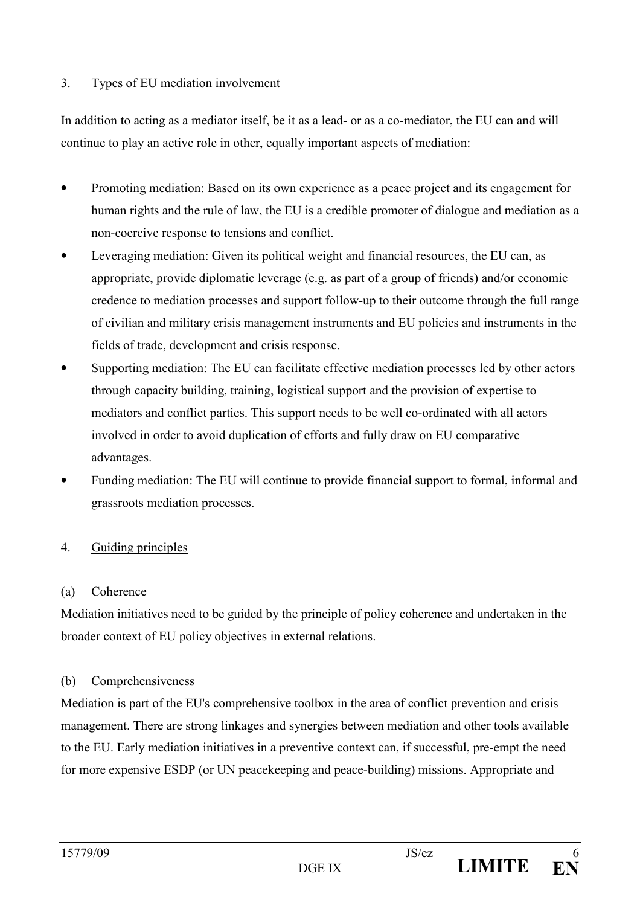### 3. Types of EU mediation involvement

In addition to acting as a mediator itself, be it as a lead- or as a co-mediator, the EU can and will continue to play an active role in other, equally important aspects of mediation:

- Promoting mediation: Based on its own experience as a peace project and its engagement for human rights and the rule of law, the EU is a credible promoter of dialogue and mediation as a non-coercive response to tensions and conflict.
- Leveraging mediation: Given its political weight and financial resources, the EU can, as appropriate, provide diplomatic leverage (e.g. as part of a group of friends) and/or economic credence to mediation processes and support follow-up to their outcome through the full range of civilian and military crisis management instruments and EU policies and instruments in the fields of trade, development and crisis response.
- Supporting mediation: The EU can facilitate effective mediation processes led by other actors through capacity building, training, logistical support and the provision of expertise to mediators and conflict parties. This support needs to be well co-ordinated with all actors involved in order to avoid duplication of efforts and fully draw on EU comparative advantages.
- Funding mediation: The EU will continue to provide financial support to formal, informal and grassroots mediation processes.

# 4. Guiding principles

### (a) Coherence

Mediation initiatives need to be guided by the principle of policy coherence and undertaken in the broader context of EU policy objectives in external relations.

# (b) Comprehensiveness

Mediation is part of the EU's comprehensive toolbox in the area of conflict prevention and crisis management. There are strong linkages and synergies between mediation and other tools available to the EU. Early mediation initiatives in a preventive context can, if successful, pre-empt the need for more expensive ESDP (or UN peacekeeping and peace-building) missions. Appropriate and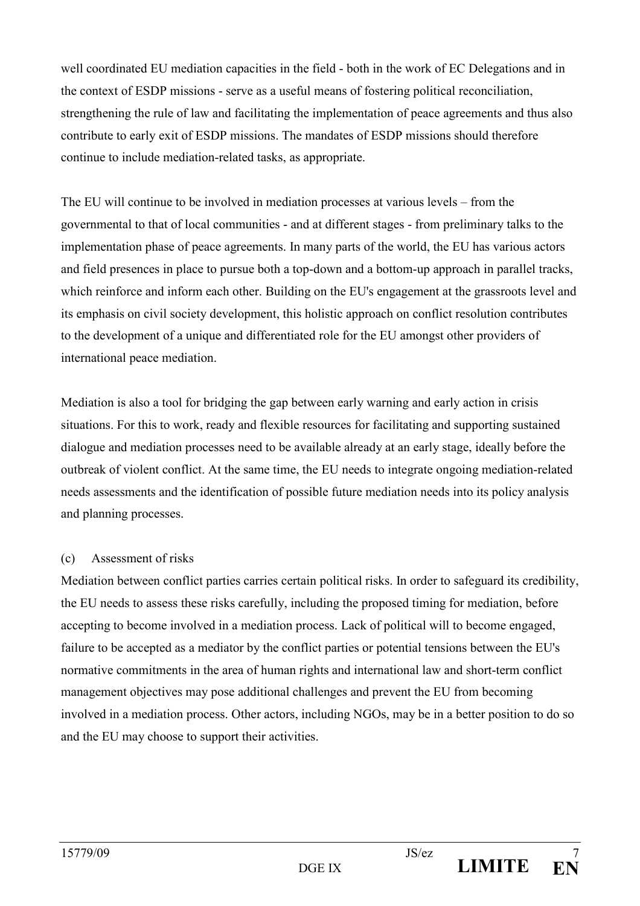well coordinated EU mediation capacities in the field - both in the work of EC Delegations and in the context of ESDP missions - serve as a useful means of fostering political reconciliation, strengthening the rule of law and facilitating the implementation of peace agreements and thus also contribute to early exit of ESDP missions. The mandates of ESDP missions should therefore continue to include mediation-related tasks, as appropriate.

The EU will continue to be involved in mediation processes at various levels – from the governmental to that of local communities - and at different stages - from preliminary talks to the implementation phase of peace agreements. In many parts of the world, the EU has various actors and field presences in place to pursue both a top-down and a bottom-up approach in parallel tracks, which reinforce and inform each other. Building on the EU's engagement at the grassroots level and its emphasis on civil society development, this holistic approach on conflict resolution contributes to the development of a unique and differentiated role for the EU amongst other providers of international peace mediation.

Mediation is also a tool for bridging the gap between early warning and early action in crisis situations. For this to work, ready and flexible resources for facilitating and supporting sustained dialogue and mediation processes need to be available already at an early stage, ideally before the outbreak of violent conflict. At the same time, the EU needs to integrate ongoing mediation-related needs assessments and the identification of possible future mediation needs into its policy analysis and planning processes.

### (c) Assessment of risks

Mediation between conflict parties carries certain political risks. In order to safeguard its credibility, the EU needs to assess these risks carefully, including the proposed timing for mediation, before accepting to become involved in a mediation process. Lack of political will to become engaged, failure to be accepted as a mediator by the conflict parties or potential tensions between the EU's normative commitments in the area of human rights and international law and short-term conflict management objectives may pose additional challenges and prevent the EU from becoming involved in a mediation process. Other actors, including NGOs, may be in a better position to do so and the EU may choose to support their activities.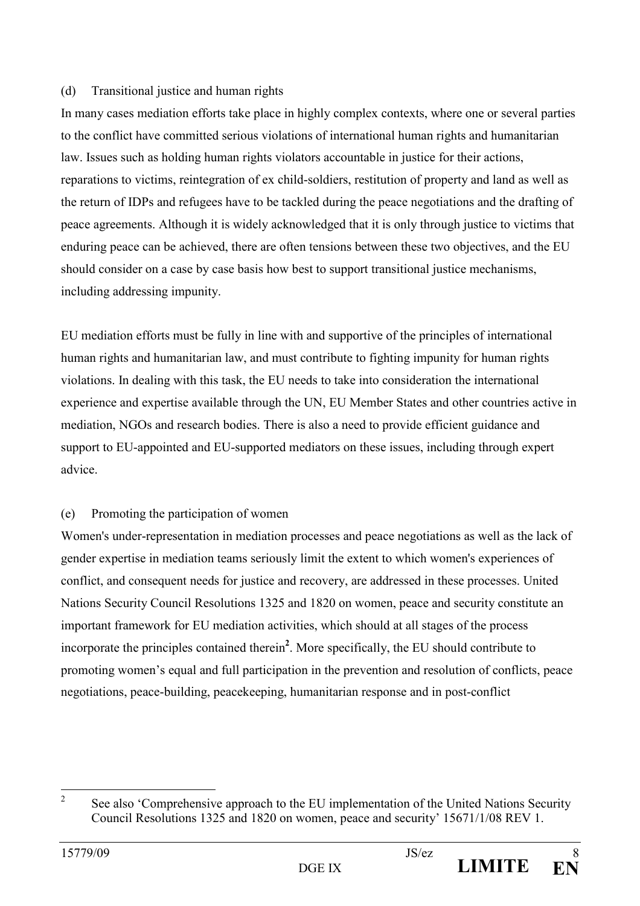#### (d) Transitional justice and human rights

In many cases mediation efforts take place in highly complex contexts, where one or several parties to the conflict have committed serious violations of international human rights and humanitarian law. Issues such as holding human rights violators accountable in justice for their actions, reparations to victims, reintegration of ex child-soldiers, restitution of property and land as well as the return of IDPs and refugees have to be tackled during the peace negotiations and the drafting of peace agreements. Although it is widely acknowledged that it is only through justice to victims that enduring peace can be achieved, there are often tensions between these two objectives, and the EU should consider on a case by case basis how best to support transitional justice mechanisms, including addressing impunity.

EU mediation efforts must be fully in line with and supportive of the principles of international human rights and humanitarian law, and must contribute to fighting impunity for human rights violations. In dealing with this task, the EU needs to take into consideration the international experience and expertise available through the UN, EU Member States and other countries active in mediation, NGOs and research bodies. There is also a need to provide efficient guidance and support to EU-appointed and EU-supported mediators on these issues, including through expert advice.

# (e) Promoting the participation of women

Women's under-representation in mediation processes and peace negotiations as well as the lack of gender expertise in mediation teams seriously limit the extent to which women's experiences of conflict, and consequent needs for justice and recovery, are addressed in these processes. United Nations Security Council Resolutions 1325 and 1820 on women, peace and security constitute an important framework for EU mediation activities, which should at all stages of the process incorporate the principles contained therein<sup>2</sup>. More specifically, the EU should contribute to promoting women's equal and full participation in the prevention and resolution of conflicts, peace negotiations, peace-building, peacekeeping, humanitarian response and in post-conflict

 $\frac{1}{2}$  See also 'Comprehensive approach to the EU implementation of the United Nations Security Council Resolutions 1325 and 1820 on women, peace and security' 15671/1/08 REV 1.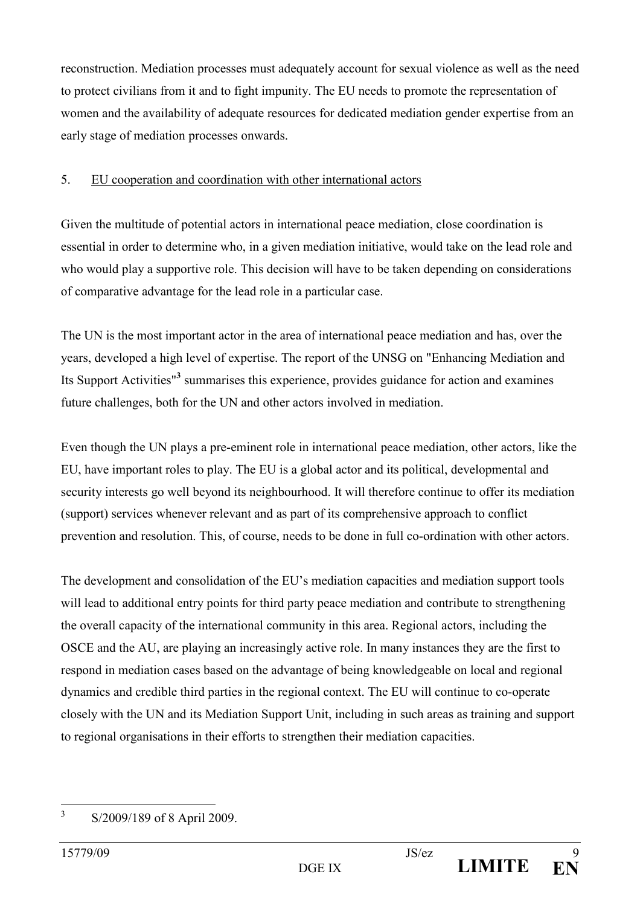reconstruction. Mediation processes must adequately account for sexual violence as well as the need to protect civilians from it and to fight impunity. The EU needs to promote the representation of women and the availability of adequate resources for dedicated mediation gender expertise from an early stage of mediation processes onwards.

### 5. EU cooperation and coordination with other international actors

Given the multitude of potential actors in international peace mediation, close coordination is essential in order to determine who, in a given mediation initiative, would take on the lead role and who would play a supportive role. This decision will have to be taken depending on considerations of comparative advantage for the lead role in a particular case.

The UN is the most important actor in the area of international peace mediation and has, over the years, developed a high level of expertise. The report of the UNSG on "Enhancing Mediation and Its Support Activities"<sup>3</sup> summarises this experience, provides guidance for action and examines future challenges, both for the UN and other actors involved in mediation.

Even though the UN plays a pre-eminent role in international peace mediation, other actors, like the EU, have important roles to play. The EU is a global actor and its political, developmental and security interests go well beyond its neighbourhood. It will therefore continue to offer its mediation (support) services whenever relevant and as part of its comprehensive approach to conflict prevention and resolution. This, of course, needs to be done in full co-ordination with other actors.

The development and consolidation of the EU's mediation capacities and mediation support tools will lead to additional entry points for third party peace mediation and contribute to strengthening the overall capacity of the international community in this area. Regional actors, including the OSCE and the AU, are playing an increasingly active role. In many instances they are the first to respond in mediation cases based on the advantage of being knowledgeable on local and regional dynamics and credible third parties in the regional context. The EU will continue to co-operate closely with the UN and its Mediation Support Unit, including in such areas as training and support to regional organisations in their efforts to strengthen their mediation capacities.

 3 S/2009/189 of 8 April 2009.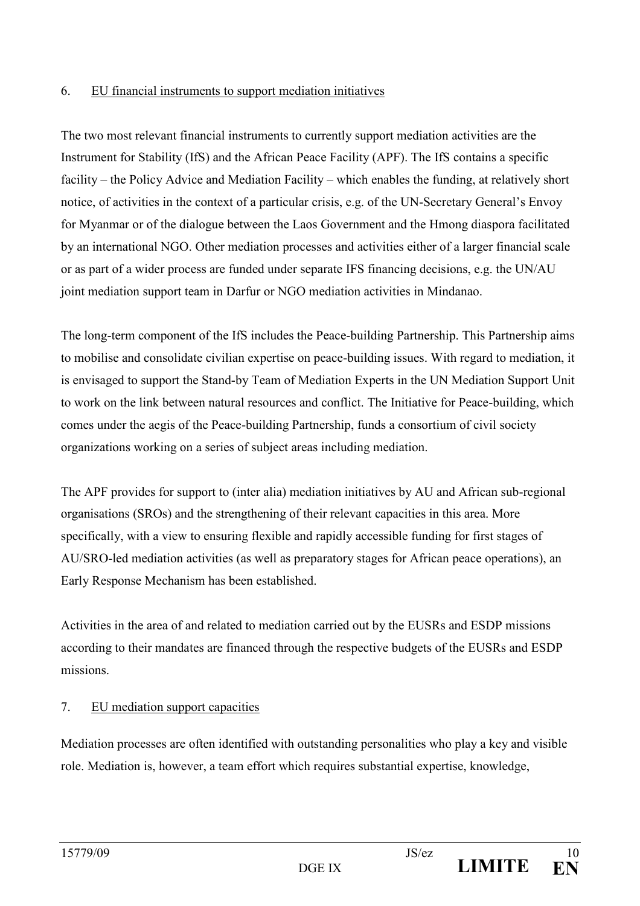### 6. EU financial instruments to support mediation initiatives

The two most relevant financial instruments to currently support mediation activities are the Instrument for Stability (IfS) and the African Peace Facility (APF). The IfS contains a specific facility – the Policy Advice and Mediation Facility – which enables the funding, at relatively short notice, of activities in the context of a particular crisis, e.g. of the UN-Secretary General's Envoy for Myanmar or of the dialogue between the Laos Government and the Hmong diaspora facilitated by an international NGO. Other mediation processes and activities either of a larger financial scale or as part of a wider process are funded under separate IFS financing decisions, e.g. the UN/AU joint mediation support team in Darfur or NGO mediation activities in Mindanao.

The long-term component of the IfS includes the Peace-building Partnership. This Partnership aims to mobilise and consolidate civilian expertise on peace-building issues. With regard to mediation, it is envisaged to support the Stand-by Team of Mediation Experts in the UN Mediation Support Unit to work on the link between natural resources and conflict. The Initiative for Peace-building, which comes under the aegis of the Peace-building Partnership, funds a consortium of civil society organizations working on a series of subject areas including mediation.

The APF provides for support to (inter alia) mediation initiatives by AU and African sub-regional organisations (SROs) and the strengthening of their relevant capacities in this area. More specifically, with a view to ensuring flexible and rapidly accessible funding for first stages of AU/SRO-led mediation activities (as well as preparatory stages for African peace operations), an Early Response Mechanism has been established.

Activities in the area of and related to mediation carried out by the EUSRs and ESDP missions according to their mandates are financed through the respective budgets of the EUSRs and ESDP missions.

# 7. EU mediation support capacities

Mediation processes are often identified with outstanding personalities who play a key and visible role. Mediation is, however, a team effort which requires substantial expertise, knowledge,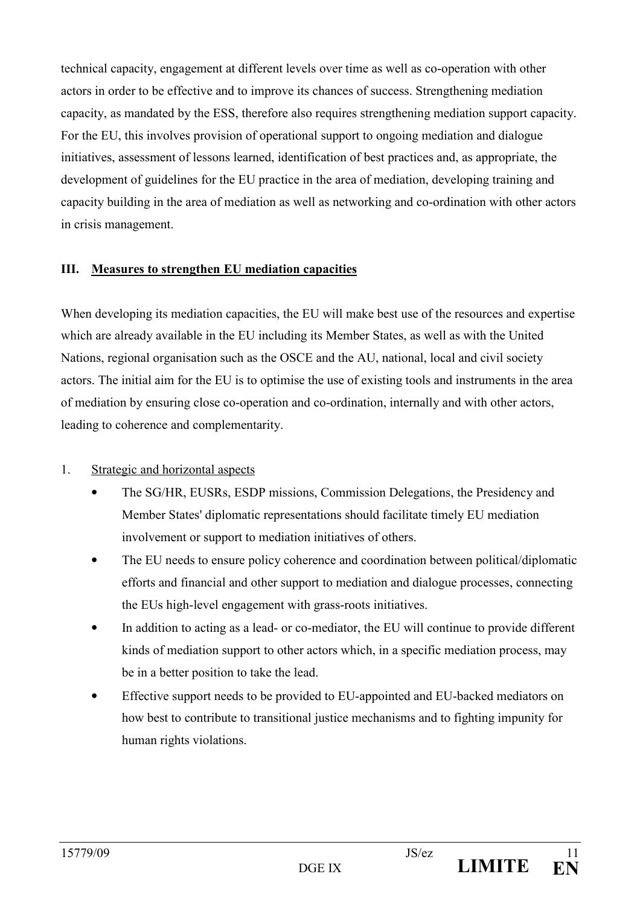technical capacity, engagement at different levels over time as well as co-operation with other actors in order to be effective and to improve its chances of success. Strengthening mediation capacity, as mandated by the ESS, therefore also requires strengthening mediation support capacity. For the EU, this involves provision of operational support to ongoing mediation and dialogue initiatives, assessment of lessons learned, identification of best practices and, as appropriate, the development of guidelines for the EU practice in the area of mediation, developing training and capacity building in the area of mediation as well as networking and co-ordination with other actors in crisis management.

### III. Measures to strengthen EU mediation capacities

When developing its mediation capacities, the EU will make best use of the resources and expertise which are already available in the EU including its Member States, as well as with the United Nations, regional organisation such as the OSCE and the AU, national, local and civil society actors. The initial aim for the EU is to optimise the use of existing tools and instruments in the area of mediation by ensuring close co-operation and co-ordination, internally and with other actors, leading to coherence and complementarity.

### 1. Strategic and horizontal aspects

- The SG/HR, EUSRs, ESDP missions, Commission Delegations, the Presidency and Member States' diplomatic representations should facilitate timely EU mediation involvement or support to mediation initiatives of others.
- The EU needs to ensure policy coherence and coordination between political/diplomatic efforts and financial and other support to mediation and dialogue processes, connecting the EUs high-level engagement with grass-roots initiatives.
- In addition to acting as a lead- or co-mediator, the EU will continue to provide different kinds of mediation support to other actors which, in a specific mediation process, may be in a better position to take the lead.
- Effective support needs to be provided to EU-appointed and EU-backed mediators on how best to contribute to transitional justice mechanisms and to fighting impunity for human rights violations.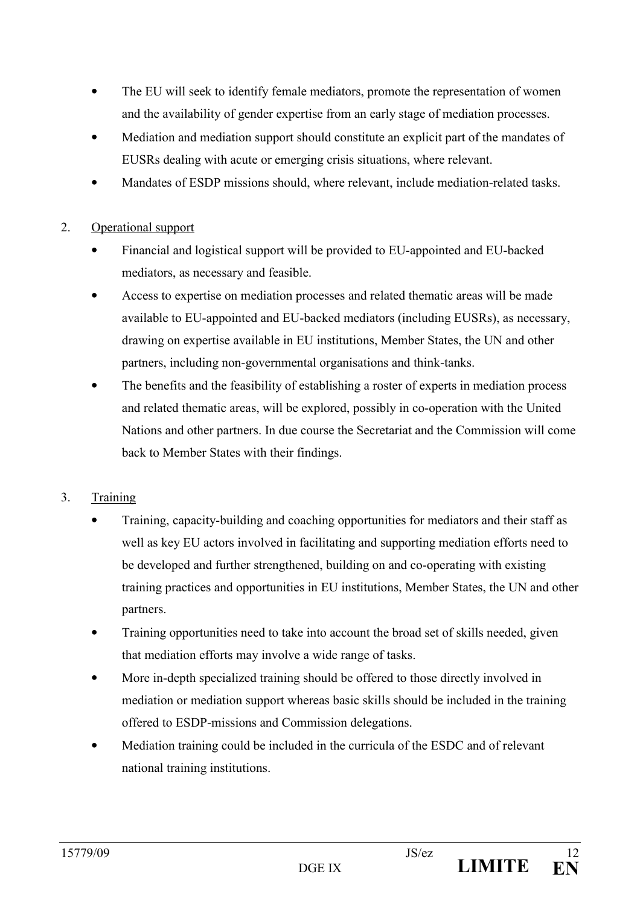- The EU will seek to identify female mediators, promote the representation of women and the availability of gender expertise from an early stage of mediation processes.
- Mediation and mediation support should constitute an explicit part of the mandates of EUSRs dealing with acute or emerging crisis situations, where relevant.
- Mandates of ESDP missions should, where relevant, include mediation-related tasks.

# 2. Operational support

- Financial and logistical support will be provided to EU-appointed and EU-backed mediators, as necessary and feasible.
- Access to expertise on mediation processes and related thematic areas will be made available to EU-appointed and EU-backed mediators (including EUSRs), as necessary, drawing on expertise available in EU institutions, Member States, the UN and other partners, including non-governmental organisations and think-tanks.
- The benefits and the feasibility of establishing a roster of experts in mediation process and related thematic areas, will be explored, possibly in co-operation with the United Nations and other partners. In due course the Secretariat and the Commission will come back to Member States with their findings.

# 3. Training

- Training, capacity-building and coaching opportunities for mediators and their staff as well as key EU actors involved in facilitating and supporting mediation efforts need to be developed and further strengthened, building on and co-operating with existing training practices and opportunities in EU institutions, Member States, the UN and other partners.
- Training opportunities need to take into account the broad set of skills needed, given that mediation efforts may involve a wide range of tasks.
- More in-depth specialized training should be offered to those directly involved in mediation or mediation support whereas basic skills should be included in the training offered to ESDP-missions and Commission delegations.
- Mediation training could be included in the curricula of the ESDC and of relevant national training institutions.